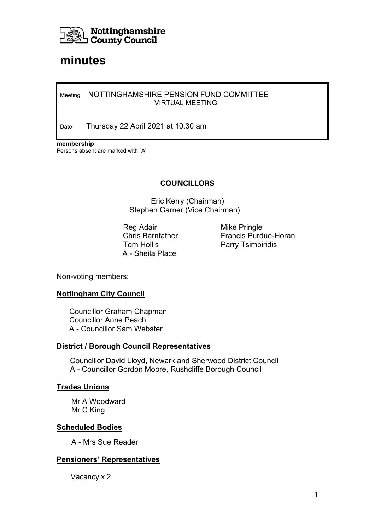

# **minutes**

#### Meeting NOTTINGHAMSHIRE PENSION FUND COMMITTEE VIRTUAL MEETING

Date Thursday 22 April 2021 at 10.30 am

**membership** Persons absent are marked with `A'

## **COUNCILLORS**

Eric Kerry (Chairman) Stephen Garner (Vice Chairman)

Reg Adair **Mike Pringle** Tom Hollis **Parry Tsimbiridis** A - Sheila Place

Chris Barnfather Francis Purdue-Horan

Non-voting members:

#### **Nottingham City Council**

 Councillor Graham Chapman Councillor Anne Peach A - Councillor Sam Webster

#### **District / Borough Council Representatives**

Councillor David Lloyd, Newark and Sherwood District Council A - Councillor Gordon Moore, Rushcliffe Borough Council

#### **Trades Unions**

 Mr A Woodward Mr C King

#### **Scheduled Bodies**

A - Mrs Sue Reader

#### **Pensioners' Representatives**

Vacancy x 2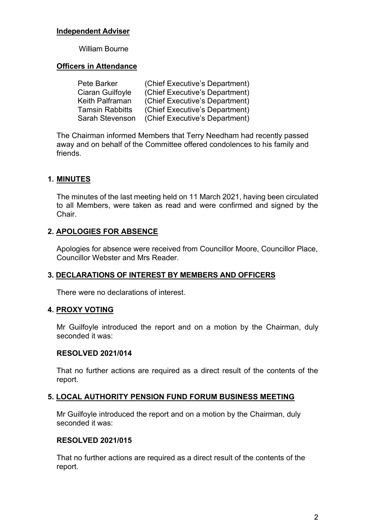#### **Independent Adviser**

#### William Bourne

## **Officers in Attendance**

| Pete Barker            | (Chief Executive's Department) |
|------------------------|--------------------------------|
| Ciaran Guilfoyle       | (Chief Executive's Department) |
| Keith Palframan        | (Chief Executive's Department) |
| <b>Tamsin Rabbitts</b> | (Chief Executive's Department) |
| <b>Sarah Stevenson</b> | (Chief Executive's Department) |

The Chairman informed Members that Terry Needham had recently passed away and on behalf of the Committee offered condolences to his family and friends.

## **1. MINUTES**

The minutes of the last meeting held on 11 March 2021, having been circulated to all Members, were taken as read and were confirmed and signed by the Chair.

# **2. APOLOGIES FOR ABSENCE**

Apologies for absence were received from Councillor Moore, Councillor Place, Councillor Webster and Mrs Reader.

# **3. DECLARATIONS OF INTEREST BY MEMBERS AND OFFICERS**

There were no declarations of interest.

#### **4. PROXY VOTING**

Mr Guilfoyle introduced the report and on a motion by the Chairman, duly seconded it was:

#### **RESOLVED 2021/014**

That no further actions are required as a direct result of the contents of the report.

#### **5. LOCAL AUTHORITY PENSION FUND FORUM BUSINESS MEETING**

Mr Guilfoyle introduced the report and on a motion by the Chairman, duly seconded it was:

#### **RESOLVED 2021/015**

That no further actions are required as a direct result of the contents of the report.